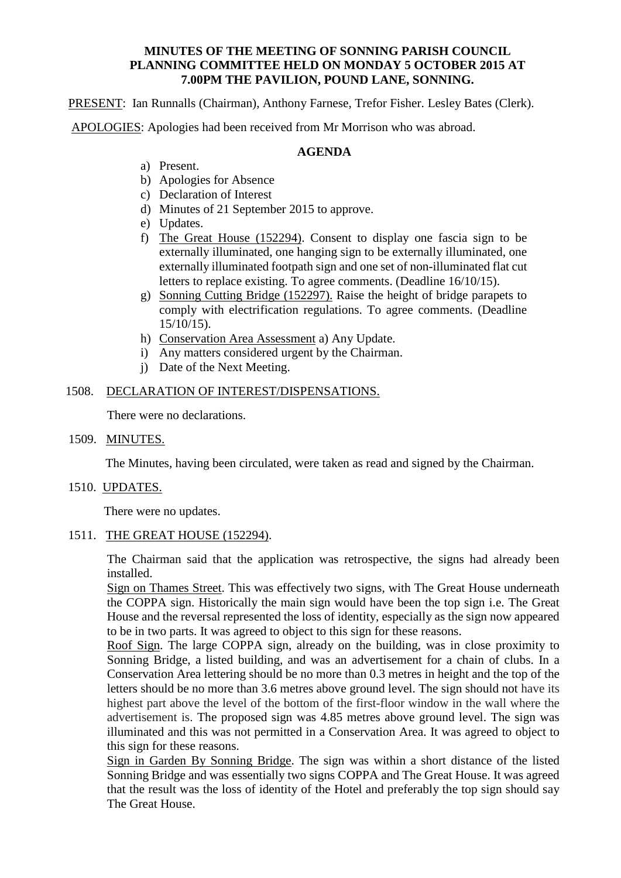### **MINUTES OF THE MEETING OF SONNING PARISH COUNCIL PLANNING COMMITTEE HELD ON MONDAY 5 OCTOBER 2015 AT 7.00PM THE PAVILION, POUND LANE, SONNING.**

PRESENT: Ian Runnalls (Chairman), Anthony Farnese, Trefor Fisher. Lesley Bates (Clerk).

APOLOGIES: Apologies had been received from Mr Morrison who was abroad.

# **AGENDA**

- a) Present.
- b) Apologies for Absence
- c) Declaration of Interest
- d) Minutes of 21 September 2015 to approve.
- e) Updates.
- f) The Great House (152294). Consent to display one fascia sign to be externally illuminated, one hanging sign to be externally illuminated, one externally illuminated footpath sign and one set of non-illuminated flat cut letters to replace existing. To agree comments. (Deadline 16/10/15).
- g) Sonning Cutting Bridge (152297). Raise the height of bridge parapets to comply with electrification regulations. To agree comments. (Deadline 15/10/15).
- h) Conservation Area Assessment a) Any Update.
- i) Any matters considered urgent by the Chairman.
- j) Date of the Next Meeting.

# 1508. DECLARATION OF INTEREST/DISPENSATIONS.

There were no declarations.

1509. MINUTES.

The Minutes, having been circulated, were taken as read and signed by the Chairman.

### 1510. UPDATES.

There were no updates.

1511. THE GREAT HOUSE (152294).

The Chairman said that the application was retrospective, the signs had already been installed.

Sign on Thames Street. This was effectively two signs, with The Great House underneath the COPPA sign. Historically the main sign would have been the top sign i.e. The Great House and the reversal represented the loss of identity, especially as the sign now appeared to be in two parts. It was agreed to object to this sign for these reasons.

Roof Sign. The large COPPA sign, already on the building, was in close proximity to Sonning Bridge, a listed building, and was an advertisement for a chain of clubs. In a Conservation Area lettering should be no more than 0.3 metres in height and the top of the letters should be no more than 3.6 metres above ground level. The sign should not have its highest part above the level of the bottom of the first-floor window in the wall where the advertisement is. The proposed sign was 4.85 metres above ground level. The sign was illuminated and this was not permitted in a Conservation Area. It was agreed to object to this sign for these reasons.

Sign in Garden By Sonning Bridge. The sign was within a short distance of the listed Sonning Bridge and was essentially two signs COPPA and The Great House. It was agreed that the result was the loss of identity of the Hotel and preferably the top sign should say The Great House.